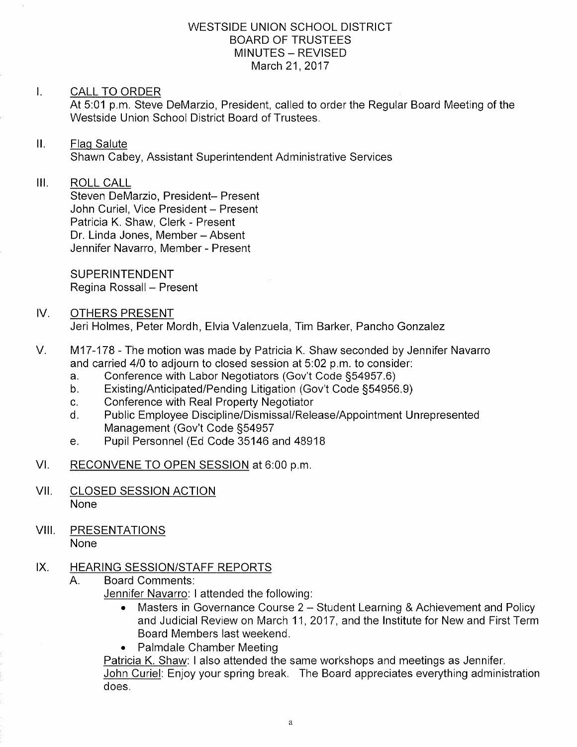# WESTSIDE UNION SCHOOL DISTRICT BOARD OF TRUSTEES MINUTES - REVISED March 21, 2017

## $\mathbf{I}$ . CALL TO ORDER

At 5:01 p.m. Steve DeMarzio, President, called to order the Regular Board Meeting of the Westside Union School Dìstrict Board of Trustees.

### $\prod$ **Flag Salute**

Shawn Cabey, Assistant Superintendent Administrative Services

## $III.$ ROLL CALL

Steven DeMarzio, President- Present John Curiel, Vice President - Present Patricia K. Shaw, Clerk - Present Dr. Linda Jones, Member - Absent Jennifer Navarro, Member - Present

SUPERINTENDENT Regina Rossall - Present

## IV OTHERS PRESENT Jeri Holmes, Peter Mordh, Elvia Valenzuela, Tim Barker, Pancho Gonzalez

- $V_{\cdot}$ M17-178 - The motion was made by Patricia K. Shaw seconded by Jennifer Navarro and carried 4/0 to adjourn to closed session at 5:02 p.m. to consider:<br>a. Conference with Labor Negotiators (Gov't Code §54957.6)
	-
	- a. Conference with Labor Negotiators (Gov't Code §54957.6)<br>b. Existing/Anticipated/Pending Litigation (Gov't Code §54956.9)<br>c. Conference with Real Property Negotiator
	-
	- c. Conference with Real Property Negotiator<br>d. Public Employee Discipline/Dismissal/Release/Appointment Unrepresented Management (Gov't Code S54957
	- e. Pupil Personnel (Ed Code 35146 and 48918
- RECONVENE TO OPEN SESSION at 6:00 p.m. VI
- CLOSED SESSION ACTION None vil
- VIII. PRESENTATIONS None

# IX. HEARING SESSION/STAFF REPORTS<br>A. Board Comments:

Jennifer Navarro: I attended the following:

- Masters in Governance Course 2 Student Learning & Achievement and Policy and Judicial Review on March 11,2017, and the lnstitute for New and First Term Board Members last weekend.
- . Palmdale Chamber Meeting

Patricia K. Shaw: I also attended the same workshops and meetings as Jennìfer.

John Curiel: Enjoy your spring break. The Board appreciates everything administration does.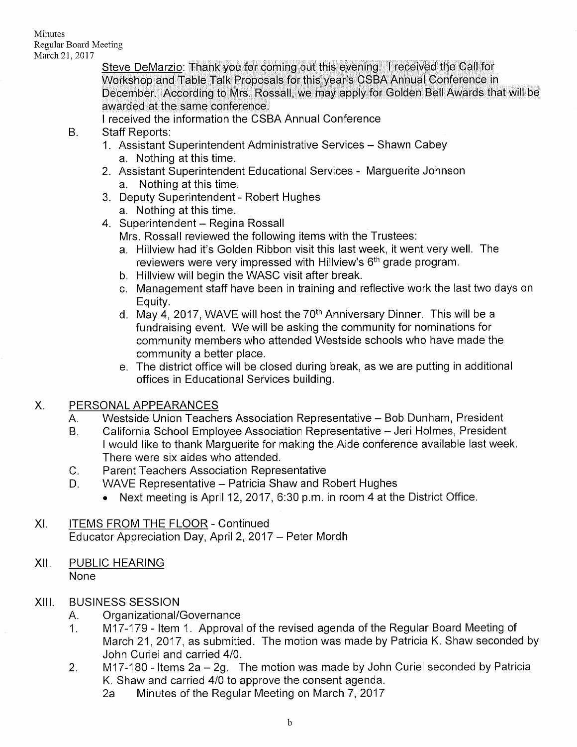Steve DeMarzio: Thank you for coming out this evening. I received the Call for Workshop and Table Talk Proposals for this year's CSBA Annual Conference in December. According to Mrs. Rossall, we may apply for Golden Bell Awards that will be awarded at the same conference,

<sup>I</sup>received the information the CSBA Annual Conference B. Staff Reports:

- - 1. Assistant Superintendent Administrative Services Shawn Cabey a. Nothing at this time.
	- 2. Assistant Superintendent Educational Services Marguerite Johnson a. Nothing at this time.
	- 3. Deputy Superintendent Robert Hughes
		-
	- 4. Superintendent Regina Rossall

Mrs. Rossall reviewed the following items with the Trustees:

- a. Hillview had it's Golden Ribbon visit this last week, it went very well. The reviewers were very impressed with Hillview's 6<sup>th</sup> grade program.
- b. Hillview will begin the WASC visit after break.
- c. Management staff have been in training and reflective work the last two days on
- d. May 4, 2017, WAVE will host the  $70<sup>th</sup>$  Anniversary Dinner. This will be a fundraisìng event. We will be askìng the community for nominations for community members who attended Westside schools who have made the community a better place.
- e. The district office will be closed during break, as we are putting in additional offices in Educational Services building.

- X. PERSONAL APPEARANCES<br>A. Westside Union Teachers Association Representative Bob Dunham, President<br>B. California School Employee Association Representative Jeri Holmes, President
	- <sup>I</sup>would like to thank Marguerite for making the Aide conference available last week.
	-
	- There were six aides who attended.<br>C. Parent Teachers Association Representative<br>D. WAVE Representative Patricia Shaw and Robert Hughes
		- Next meeting is April 12, 2017, 6:30 p.m. in room 4 at the District Office.
- ITEMS FROM THE FLOOR Continued Educator Appreciation Day, April 2, 2017 - Peter Mordh XI
- xil PUBLIC HEARING **None**
- XIII.
	-
	- BUSINESS SESSION<br>A. Organizational/Governance<br>1. M17-179 Item 1. Approval of the revised agenda of the Regular Board Meeting of March 21, 2017, as submitted. The motion was made by Patricia K. Shaw seconded by
	- John Curiel and carried 4/0.<br>2. M17-180 Items 2a 2g. The motion was made by John Curiel seconded by Patricia K. Shaw and carried 4/0 to approve the consent agenda.<br>2a Minutes of the Regular Meeting on March 7, 2017
		-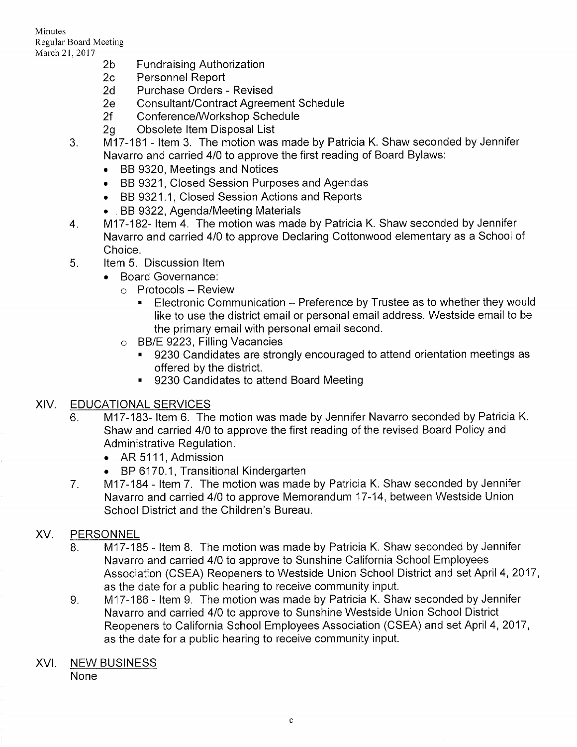Minutes Regular Board Meeting March 21,2017

- 2b Fundraising Authorization
- 2c Personnel Report
- 2d Purchase Orders - Revised
- 2e Consultant/Contract Agreemeni Schedule
- 2f Conference/Workshop Schedule
- 2g Obsolete ltem Disposal List
- M17-181 ltem 3. The motion was made by Patricia K. Shaw seconded by Jennifer 3. Navarro and carried 4/0 to approve the first reading of Board Bylaws:
	- . BB 9320, Meetings and Notices
	- . BB 9321, Closed Session Purposes and Agendas
	- BB 9321.1, Closed Session Actions and Reports
	- . BB 9322, Agenda/Meeting Materials
- M17-182- Item 4. The motion was made by Patricia K. Shaw seconded by Jennifer Navarro and carried 4/0 to approve Declaring Cottonwood elementary as a School of Choice. 4.
- 5. Item 5. Discussion ltem
	- . Board Governance:
		- $\circ$  Protocols Review
			- **Electronic Communication Preference by Trustee as to whether they would** like to use the district email or personal email address. Westside email to be the primary email with personal email second.
		- o BB/E 9223, Filling Vacancies
			- . 9230 Candidates are strongly encouraged to attend orientation meetings as offered by the district.
			- 9230 Candidates to attend Board Meeting

- XIV. EDUCATIONAL SERVICES 6. M17-183- ltem 6. The motion was made by Jennifer Navarro seconded by Patricia K. Shaw and carried 4/0 to approve the first reading of the revised Board Policy and Administrative Regulation.
	- AR 5111, Admission
	- $\cdot$  BP 6170.1,
	- BP 6170.1, Transitional Kindergarten<br>7. M17-184 Item 7. The motion was made by Patricia K. Shaw seconded by Jennifer Navarro and carried 4/0 to approve Memorandum 17-14, between Westside Union School District and the Children's Bureau.

- XV. PERSONNEL<br>8. M17-185 Item 8. The motion was made by Patricia K. Shaw seconded by Jennifer Navarro and carried 4/0 to approve to Sunshine California School Employees Association (CSEA) Reopeners to Westside Union School District and set April 4, 2017, as the date for a public hearing to receive community input.<br>9. M17-186 - Item 9. The motion was made by Patricia K. Shaw seconded by Jennifer
	- Navarro and carried 4/0 to approve to Sunshine Westside Union School District Reopeners to California School Employees Association (CSEA) and set April 4, 2017, as the date for a public hearing to receive community input.

## XVI. NEW BUSINESS None